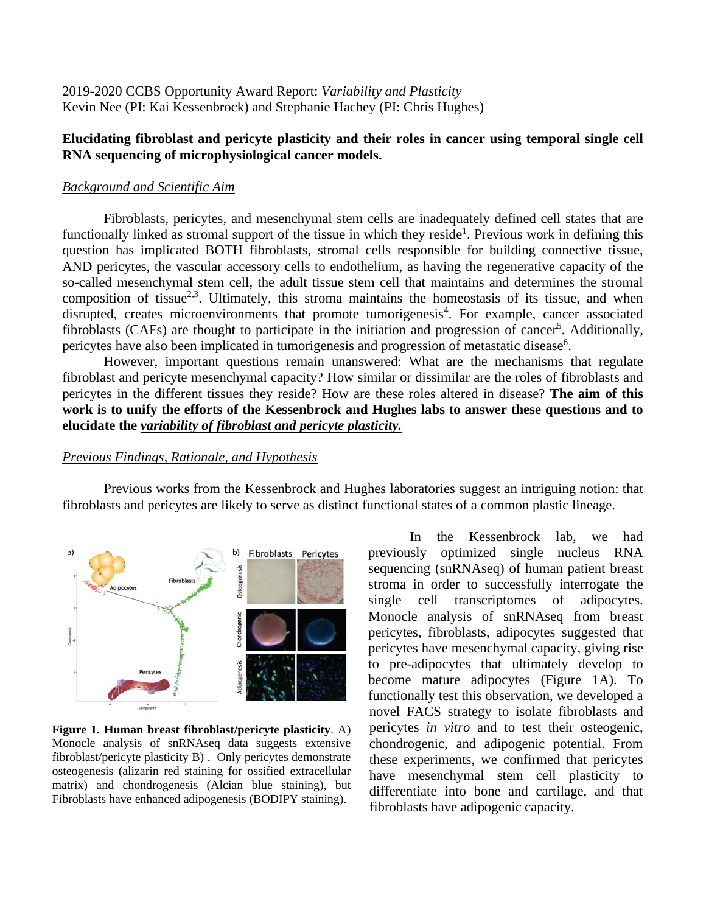2019-2020 CCBS Opportunity Award Report: *Variability and Plasticity* Kevin Nee (PI: Kai Kessenbrock) and Stephanie Hachey (PI: Chris Hughes)

# **Elucidating fibroblast and pericyte plasticity and their roles in cancer using temporal single cell RNA sequencing of microphysiological cancer models.**

### *Background and Scientific Aim*

Fibroblasts, pericytes, and mesenchymal stem cells are inadequately defined cell states that are functionally linked as stromal support of the tissue in which they reside<sup>1</sup>. Previous work in defining this question has implicated BOTH fibroblasts, stromal cells responsible for building connective tissue, AND pericytes, the vascular accessory cells to endothelium, as having the regenerative capacity of the so-called mesenchymal stem cell, the adult tissue stem cell that maintains and determines the stromal composition of tissue<sup>2,3</sup>. Ultimately, this stroma maintains the homeostasis of its tissue, and when disrupted, creates microenvironments that promote tumorigenesis<sup>4</sup>. For example, cancer associated fibroblasts (CAFs) are thought to participate in the initiation and progression of cancer<sup>5</sup>. Additionally, pericytes have also been implicated in tumorigenesis and progression of metastatic disease<sup>6</sup>.

However, important questions remain unanswered: What are the mechanisms that regulate fibroblast and pericyte mesenchymal capacity? How similar or dissimilar are the roles of fibroblasts and pericytes in the different tissues they reside? How are these roles altered in disease? **The aim of this work is to unify the efforts of the Kessenbrock and Hughes labs to answer these questions and to elucidate the** *variability of fibroblast and pericyte plasticity.* 

### *Previous Findings, Rationale, and Hypothesis*

Previous works from the Kessenbrock and Hughes laboratories suggest an intriguing notion: that fibroblasts and pericytes are likely to serve as distinct functional states of a common plastic lineage.



**Figure 1. Human breast fibroblast/pericyte plasticity**. A) Monocle analysis of snRNAseq data suggests extensive fibroblast/pericyte plasticity B) . Only pericytes demonstrate osteogenesis (alizarin red staining for ossified extracellular matrix) and chondrogenesis (Alcian blue staining), but Fibroblasts have enhanced adipogenesis (BODIPY staining).

In the Kessenbrock lab, we had previously optimized single nucleus RNA sequencing (snRNAseq) of human patient breast stroma in order to successfully interrogate the single cell transcriptomes of adipocytes. Monocle analysis of snRNAseq from breast pericytes, fibroblasts, adipocytes suggested that pericytes have mesenchymal capacity, giving rise to pre-adipocytes that ultimately develop to become mature adipocytes (Figure 1A). To functionally test this observation, we developed a novel FACS strategy to isolate fibroblasts and pericytes *in vitro* and to test their osteogenic, chondrogenic, and adipogenic potential. From these experiments, we confirmed that pericytes have mesenchymal stem cell plasticity to differentiate into bone and cartilage, and that fibroblasts have adipogenic capacity.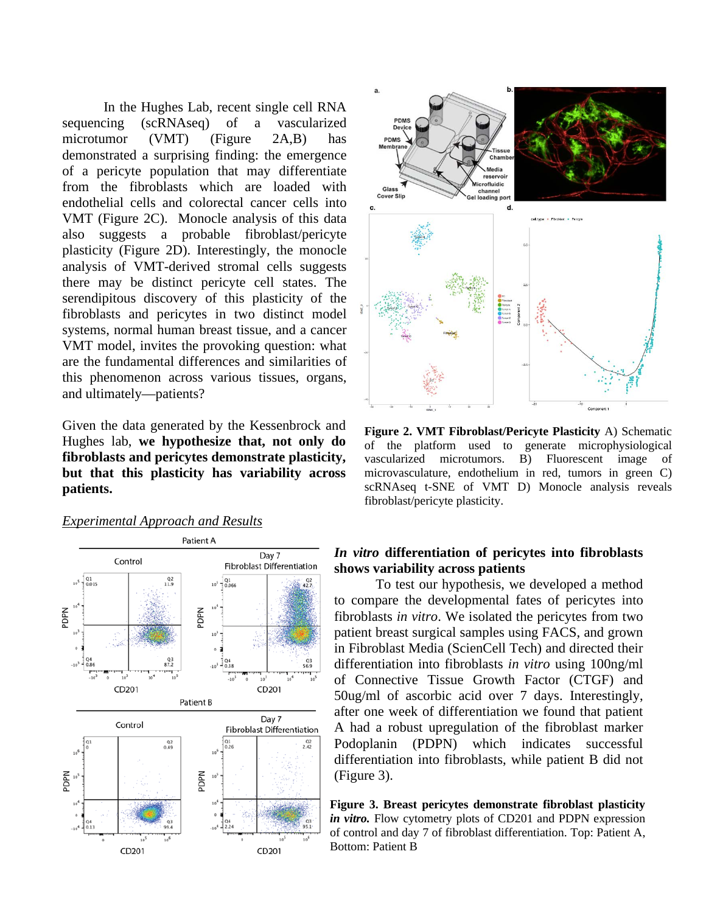In the Hughes Lab, recent single cell RNA sequencing (scRNAseq) of a vascularized microtumor (VMT) (Figure 2A,B) has demonstrated a surprising finding: the emergence of a pericyte population that may differentiate from the fibroblasts which are loaded with endothelial cells and colorectal cancer cells into VMT (Figure 2C). Monocle analysis of this data also suggests a probable fibroblast/pericyte plasticity (Figure 2D). Interestingly, the monocle analysis of VMT-derived stromal cells suggests there may be distinct pericyte cell states. The serendipitous discovery of this plasticity of the fibroblasts and pericytes in two distinct model systems, normal human breast tissue, and a cancer VMT model, invites the provoking question: what are the fundamental differences and similarities of this phenomenon across various tissues, organs, and ultimately—patients?

Given the data generated by the Kessenbrock and Hughes lab, **we hypothesize that, not only do fibroblasts and pericytes demonstrate plasticity, but that this plasticity has variability across patients.**

## *Experimental Approach and Results*





**Figure 2. VMT Fibroblast/Pericyte Plasticity** A) Schematic of the platform used to generate microphysiological vascularized microtumors. B) Fluorescent image of microvasculature, endothelium in red, tumors in green C) scRNAseq t-SNE of VMT D) Monocle analysis reveals fibroblast/pericyte plasticity.

# *In vitro* **differentiation of pericytes into fibroblasts shows variability across patients**

To test our hypothesis, we developed a method to compare the developmental fates of pericytes into fibroblasts *in vitro*. We isolated the pericytes from two patient breast surgical samples using FACS, and grown in Fibroblast Media (ScienCell Tech) and directed their differentiation into fibroblasts *in vitro* using 100ng/ml of Connective Tissue Growth Factor (CTGF) and 50ug/ml of ascorbic acid over 7 days. Interestingly, after one week of differentiation we found that patient A had a robust upregulation of the fibroblast marker Podoplanin (PDPN) which indicates successful differentiation into fibroblasts, while patient B did not (Figure 3).

**Figure 3. Breast pericytes demonstrate fibroblast plasticity**  *in vitro.* Flow cytometry plots of CD201 and PDPN expression of control and day 7 of fibroblast differentiation. Top: Patient A, Bottom: Patient B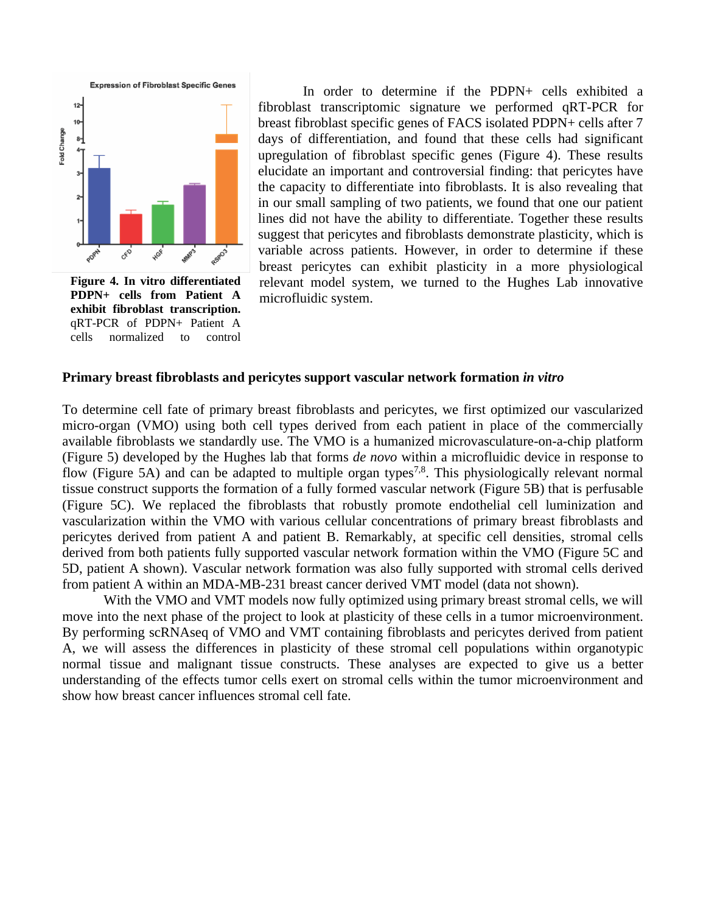

**Figure 4. In vitro differentiated PDPN+ cells from Patient A exhibit fibroblast transcription.** qRT-PCR of PDPN+ Patient A cells normalized to control

In order to determine if the PDPN+ cells exhibited a fibroblast transcriptomic signature we performed qRT-PCR for breast fibroblast specific genes of FACS isolated PDPN+ cells after 7 days of differentiation, and found that these cells had significant upregulation of fibroblast specific genes (Figure 4). These results elucidate an important and controversial finding: that pericytes have the capacity to differentiate into fibroblasts. It is also revealing that in our small sampling of two patients, we found that one our patient lines did not have the ability to differentiate. Together these results suggest that pericytes and fibroblasts demonstrate plasticity, which is variable across patients. However, in order to determine if these breast pericytes can exhibit plasticity in a more physiological relevant model system, we turned to the Hughes Lab innovative microfluidic system.

### **Primary breast fibroblasts and pericytes support vascular network formation** *in vitro*

To determine cell fate of primary breast fibroblasts and pericytes, we first optimized our vascularized micro-organ (VMO) using both cell types derived from each patient in place of the commercially available fibroblasts we standardly use. The VMO is a humanized microvasculature-on-a-chip platform (Figure 5) developed by the Hughes lab that forms *de novo* within a microfluidic device in response to flow (Figure 5A) and can be adapted to multiple organ types<sup>7,8</sup>. This physiologically relevant normal tissue construct supports the formation of a fully formed vascular network (Figure 5B) that is perfusable (Figure 5C). We replaced the fibroblasts that robustly promote endothelial cell luminization and vascularization within the VMO with various cellular concentrations of primary breast fibroblasts and pericytes derived from patient A and patient B. Remarkably, at specific cell densities, stromal cells derived from both patients fully supported vascular network formation within the VMO (Figure 5C and 5D, patient A shown). Vascular network formation was also fully supported with stromal cells derived from patient A within an MDA-MB-231 breast cancer derived VMT model (data not shown).

With the VMO and VMT models now fully optimized using primary breast stromal cells, we will move into the next phase of the project to look at plasticity of these cells in a tumor microenvironment. By performing scRNAseq of VMO and VMT containing fibroblasts and pericytes derived from patient A, we will assess the differences in plasticity of these stromal cell populations within organotypic normal tissue and malignant tissue constructs. These analyses are expected to give us a better understanding of the effects tumor cells exert on stromal cells within the tumor microenvironment and show how breast cancer influences stromal cell fate.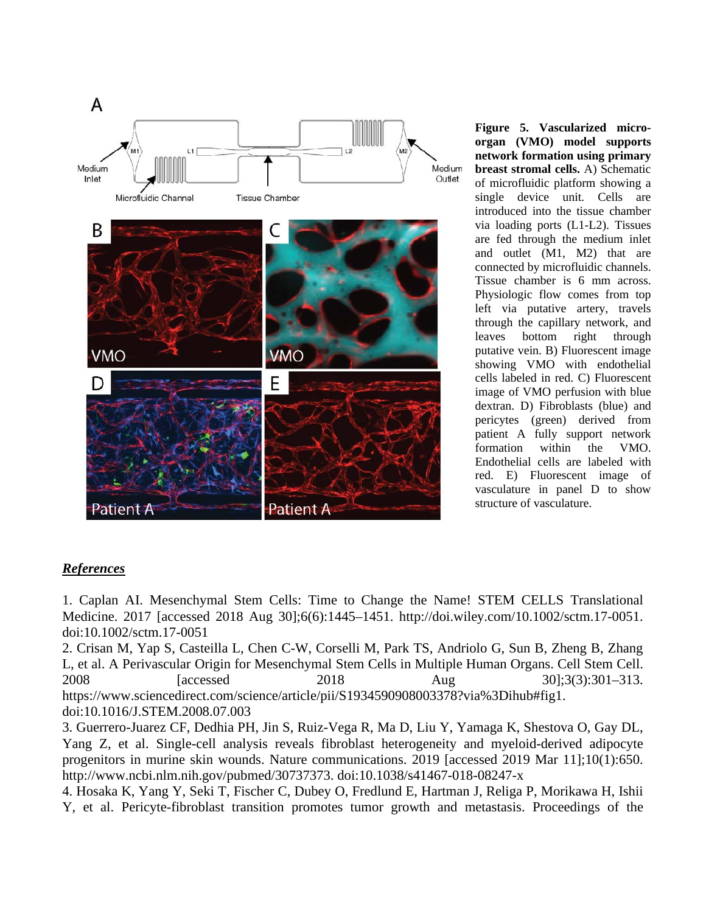

**Figure 5. Vascularized microorgan (VMO) model supports network formation using primary breast stromal cells.** A) Schematic of microfluidic platform showing a single device unit. Cells are introduced into the tissue chamber via loading ports (L1-L2). Tissues are fed through the medium inlet and outlet (M1, M2) that are connected by microfluidic channels. Tissue chamber is 6 mm across. Physiologic flow comes from top left via putative artery, travels through the capillary network, and leaves bottom right through putative vein. B) Fluorescent image showing VMO with endothelial cells labeled in red. C) Fluorescent image of VMO perfusion with blue dextran. D) Fibroblasts (blue) and pericytes (green) derived from patient A fully support network formation within the VMO. Endothelial cells are labeled with red. E) Fluorescent image of vasculature in panel D to show structure of vasculature.

# *References*

1. Caplan AI. Mesenchymal Stem Cells: Time to Change the Name! STEM CELLS Translational Medicine. 2017 [accessed 2018 Aug 30];6(6):1445–1451. http://doi.wiley.com/10.1002/sctm.17-0051. doi:10.1002/sctm.17-0051

2. Crisan M, Yap S, Casteilla L, Chen C-W, Corselli M, Park TS, Andriolo G, Sun B, Zheng B, Zhang L, et al. A Perivascular Origin for Mesenchymal Stem Cells in Multiple Human Organs. Cell Stem Cell. 2008 [accessed 2018 Aug 30];3(3):301–313. https://www.sciencedirect.com/science/article/pii/S1934590908003378?via%3Dihub#fig1. doi:10.1016/J.STEM.2008.07.003

3. Guerrero-Juarez CF, Dedhia PH, Jin S, Ruiz-Vega R, Ma D, Liu Y, Yamaga K, Shestova O, Gay DL, Yang Z, et al. Single-cell analysis reveals fibroblast heterogeneity and myeloid-derived adipocyte progenitors in murine skin wounds. Nature communications. 2019 [accessed 2019 Mar 11];10(1):650. http://www.ncbi.nlm.nih.gov/pubmed/30737373. doi:10.1038/s41467-018-08247-x

4. Hosaka K, Yang Y, Seki T, Fischer C, Dubey O, Fredlund E, Hartman J, Religa P, Morikawa H, Ishii Y, et al. Pericyte-fibroblast transition promotes tumor growth and metastasis. Proceedings of the